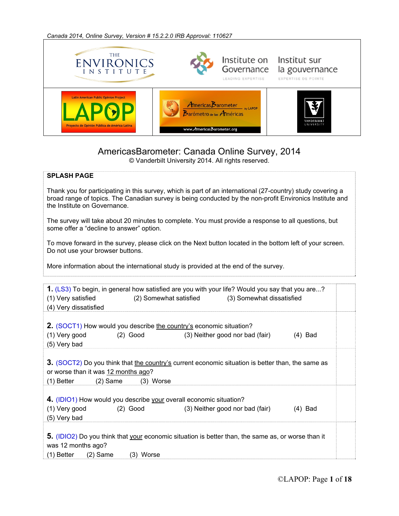*Canada 2014, Online Survey, Version # 15.2.2.0 IRB Approval: 110627* 



## AmericasBarometer: Canada Online Survey, 2014

© Vanderbilt University 2014. All rights reserved.

## **SPLASH PAGE**

Thank you for participating in this survey, which is part of an international (27-country) study covering a broad range of topics. The Canadian survey is being conducted by the non-profit Environics Institute and the Institute on Governance.

The survey will take about 20 minutes to complete. You must provide a response to all questions, but some offer a "decline to answer" option.

To move forward in the survey, please click on the Next button located in the bottom left of your screen. Do not use your browser buttons.

More information about the international study is provided at the end of the survey.

| (1) Very satisfied<br>(4) Very dissatisfied                                                          |             | 1. (LS3) To begin, in general how satisfied are you with your life? Would you say that you are?<br>(2) Somewhat satisfied (3) Somewhat dissatisfied |           |
|------------------------------------------------------------------------------------------------------|-------------|-----------------------------------------------------------------------------------------------------------------------------------------------------|-----------|
| 2. (SOCT1) How would you describe the country's economic situation?<br>(1) Very good<br>(5) Very bad | $(2)$ Good  | (3) Neither good nor bad (fair)                                                                                                                     | $(4)$ Bad |
| or worse than it was 12 months ago?<br>(1) Better<br>$(2)$ Same                                      | $(3)$ Worse | <b>3.</b> (SOCT2) Do you think that the country's current economic situation is better than, the same as                                            |           |
| 4. (IDIO1) How would you describe your overall economic situation?<br>(1) Very good<br>(5) Very bad  | $(2)$ Good  | (3) Neither good nor bad (fair)                                                                                                                     | $(4)$ Bad |
| was 12 months ago?<br>$(2)$ Same<br>(1) Better                                                       | (3) Worse   | 5. (IDIO2) Do you think that your economic situation is better than, the same as, or worse than it                                                  |           |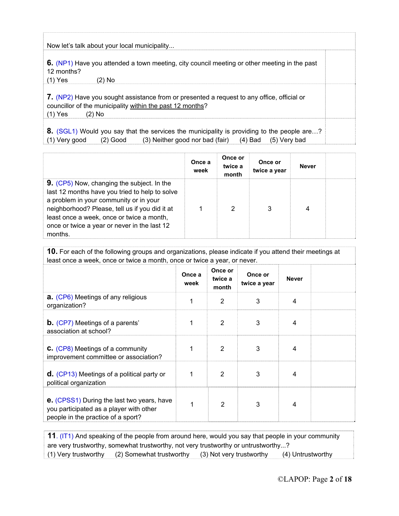Now let's talk about your local municipality...

**6.** (NP1) Have you attended a town meeting, city council meeting or other meeting in the past 12 months?

(1) Yes (2) No

**7.** (NP2) Have you sought assistance from or presented a request to any office, official or councillor of the municipality within the past 12 months? (1) Yes (2) No

**8.** (SGL1) Would you say that the services the municipality is providing to the people are...? (1) Very good (2) Good (3) Neither good nor bad (fair) (4) Bad (5) Very bad

|                                                                                                                                                                                                                                                                                                  | Once a<br>week | Once or<br>twice a<br>month | Once or<br>twice a year | <b>Never</b> |  |
|--------------------------------------------------------------------------------------------------------------------------------------------------------------------------------------------------------------------------------------------------------------------------------------------------|----------------|-----------------------------|-------------------------|--------------|--|
| 9. (CP5) Now, changing the subject. In the<br>last 12 months have you tried to help to solve<br>a problem in your community or in your<br>neighborhood? Please, tell us if you did it at<br>least once a week, once or twice a month,<br>once or twice a year or never in the last 12<br>months. |                | 2                           | 3                       | 4            |  |

**10.** For each of the following groups and organizations, please indicate if you attend their meetings at least once a week, once or twice a month, once or twice a year, or never.

|                                                                                                                                    | Once a<br>week | Once or<br>twice a<br>month | Once or<br>twice a year | <b>Never</b> |  |
|------------------------------------------------------------------------------------------------------------------------------------|----------------|-----------------------------|-------------------------|--------------|--|
| <b>a.</b> (CP6) Meetings of any religious<br>organization?                                                                         | 1              | 2                           | 3                       | 4            |  |
| <b>b.</b> (CP7) Meetings of a parents'<br>association at school?                                                                   |                | 2                           | 3                       | 4            |  |
| C. (CP8) Meetings of a community<br>improvement committee or association?                                                          | 1              | 2                           | 3                       | 4            |  |
| <b>d.</b> (CP13) Meetings of a political party or<br>political organization                                                        | 1              | 2                           | 3                       | 4            |  |
| <b>e.</b> (CPSS1) During the last two years, have<br>you participated as a player with other<br>people in the practice of a sport? | 1              | $\overline{2}$              | 3                       | 4            |  |

**11**. (IT1) And speaking of the people from around here, would you say that people in your community are very trustworthy, somewhat trustworthy, not very trustworthy or untrustworthy...? (1) Very trustworthy (2) Somewhat trustworthy (3) Not very trustworthy (4) Untrustworthy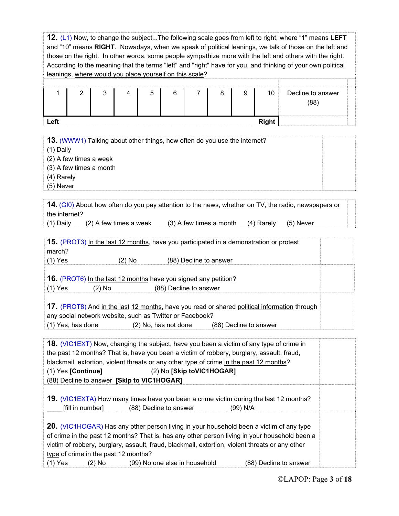**12.** (L1) Now, to change the subject...The following scale goes from left to right, where "1" means **LEFT** and "10" means **RIGHT**. Nowadays, when we speak of political leanings, we talk of those on the left and those on the right. In other words, some people sympathize more with the left and others with the right. According to the meaning that the terms "left" and "right" have for you, and thinking of your own political leanings, where would you place yourself on this scale? 1 2 3 4 5 6 7 8 9 10 Decline to answer (88) **Left Right** Right **13.** (WWW1) Talking about other things, how often do you use the internet? (1) Daily (2) A few times a week (3) A few times a month (4) Rarely (5) Never **14.** (GI0) About how often do you pay attention to the news, whether on TV, the radio, newspapers or the internet? (1) Daily (2) A few times a week (3) A few times a month (4) Rarely (5) Never

| <b>15.</b> (PROT3) In the last 12 months, have you participated in a demonstration or protest |        |                        |                        |  |
|-----------------------------------------------------------------------------------------------|--------|------------------------|------------------------|--|
| march?                                                                                        |        |                        |                        |  |
| $(1)$ Yes                                                                                     | (2) No |                        | (88) Decline to answer |  |
|                                                                                               |        |                        |                        |  |
| <b>16.</b> (PROT6) In the last 12 months have you signed any petition?                        |        |                        |                        |  |
| $(1)$ Yes<br>(2) No                                                                           |        | (88) Decline to answer |                        |  |
|                                                                                               |        |                        |                        |  |
| 17. (PROT8) And in the last 12 months, have you read or shared political information through  |        |                        |                        |  |
| any social network website, such as Twitter or Facebook?                                      |        |                        |                        |  |
| $(1)$ Yes, has done                                                                           |        | (2) No, has not done   | (88) Decline to answer |  |

|                                      | <b>18.</b> (VIC1EXT) Now, changing the subject, have you been a victim of any type of crime in<br>the past 12 months? That is, have you been a victim of robbery, burglary, assault, fraud,                                                                                                        |                        |
|--------------------------------------|----------------------------------------------------------------------------------------------------------------------------------------------------------------------------------------------------------------------------------------------------------------------------------------------------|------------------------|
|                                      | blackmail, extortion, violent threats or any other type of crime in the past 12 months?                                                                                                                                                                                                            |                        |
| $(1)$ Yes [Continue]                 | (2) No [Skip toVIC1HOGAR]                                                                                                                                                                                                                                                                          |                        |
|                                      | (88) Decline to answer [Skip to VIC1HOGAR]                                                                                                                                                                                                                                                         |                        |
| [fill in number]                     | 19. (VIC1EXTA) How many times have you been a crime victim during the last 12 months?<br>(88) Decline to answer                                                                                                                                                                                    | (99) N/A               |
| type of crime in the past 12 months? | <b>20.</b> (VIC1HOGAR) Has any other person living in your household been a victim of any type<br>of crime in the past 12 months? That is, has any other person living in your household been a<br>victim of robbery, burglary, assault, fraud, blackmail, extortion, violent threats or any other |                        |
| $(1)$ Yes                            | $(2)$ No $(2)$<br>(99) No one else in household                                                                                                                                                                                                                                                    | (88) Decline to answer |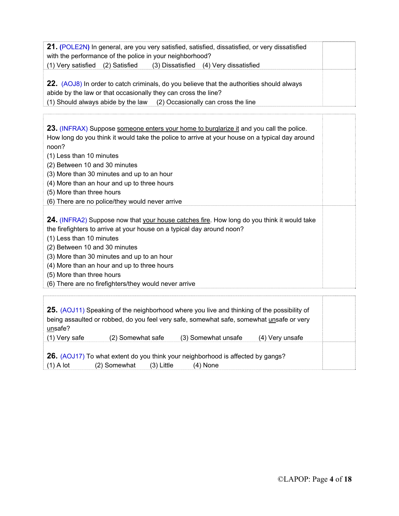**21. (**POLE2N**)** In general, are you very satisfied, satisfied, dissatisfied, or very dissatisfied with the performance of the police in your neighborhood? (1) Very satisfied (2) Satisfied (3) Dissatisfied (4) Very dissatisfied

**22.** (AOJ8) In order to catch criminals, do you believe that the authorities should always abide by the law or that occasionally they can cross the line? (1) Should always abide by the law (2) Occasionally can cross the line

**23.** (INFRAX) Suppose someone enters your home to burglarize it and you call the police. How long do you think it would take the police to arrive at your house on a typical day around noon?

(1) Less than 10 minutes

(2) Between 10 and 30 minutes

(3) More than 30 minutes and up to an hour

(4) More than an hour and up to three hours

(5) More than three hours

(6) There are no police/they would never arrive

**24.** (INFRA2) Suppose now that your house catches fire. How long do you think it would take the firefighters to arrive at your house on a typical day around noon?

(1) Less than 10 minutes

(2) Between 10 and 30 minutes

(3) More than 30 minutes and up to an hour

(4) More than an hour and up to three hours

(5) More than three hours

(6) There are no firefighters/they would never arrive

| unsafe?       | <b>25.</b> (AOJ11) Speaking of the neighborhood where you live and thinking of the possibility of<br>being assaulted or robbed, do you feel very safe, somewhat safe, somewhat unsafe or very |                     |                 |  |
|---------------|-----------------------------------------------------------------------------------------------------------------------------------------------------------------------------------------------|---------------------|-----------------|--|
| (1) Very safe | (2) Somewhat safe                                                                                                                                                                             | (3) Somewhat unsafe | (4) Very unsafe |  |
| $(1)$ A lot   | <b>26.</b> (AOJ17) To what extent do you think your neighborhood is affected by gangs?<br>(2) Somewhat<br>$(3)$ Little                                                                        | $(4)$ None          |                 |  |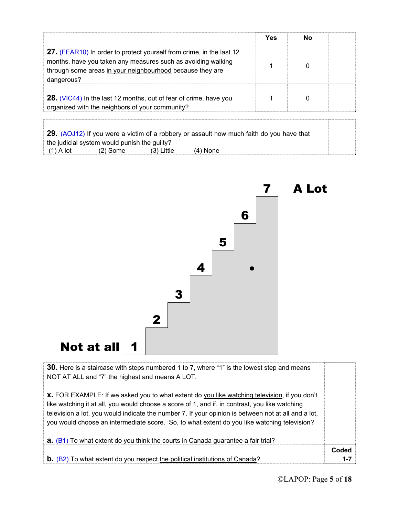|                                                                                                                                                                                                                 | Yes | Nο |  |
|-----------------------------------------------------------------------------------------------------------------------------------------------------------------------------------------------------------------|-----|----|--|
| 27. (FEAR10) In order to protect yourself from crime, in the last 12<br>months, have you taken any measures such as avoiding walking<br>through some areas in your neighbourhood because they are<br>dangerous? |     |    |  |
| 28. (VIC44) In the last 12 months, out of fear of crime, have you<br>organized with the neighbors of your community?                                                                                            |     |    |  |

**29.** (AOJ12) If you were a victim of a robbery or assault how much faith do you have that the judicial system would punish the guilty?  $(1)$  A lot  $(2)$  Some  $(3)$  Little  $(4)$  None



7 A Lot

**30.** Here is a staircase with steps numbered 1 to 7, where "1" is the lowest step and means NOT AT ALL and "7" the highest and means A LOT.

**x.** FOR EXAMPLE: If we asked you to what extent do you like watching television, if you don't like watching it at all, you would choose a score of 1, and if, in contrast, you like watching television a lot, you would indicate the number 7. If your opinion is between not at all and a lot, you would choose an intermediate score. So, to what extent do you like watching television?

| <b>a.</b> (B1) To what extent do you think the courts in Canada guarantee a fair trial? |         |
|-----------------------------------------------------------------------------------------|---------|
|                                                                                         | Coded   |
| $\mathbf b$ . (B2) To what extent do you respect the political institutions of Canada?  | $1 - 7$ |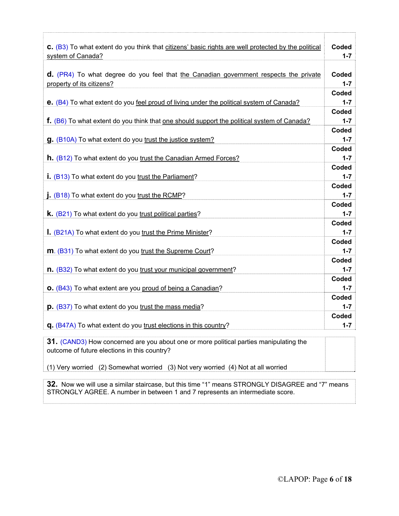| C. (B3) To what extent do you think that citizens' basic rights are well protected by the political<br>system of Canada? | Coded<br>$1 - 7$          |
|--------------------------------------------------------------------------------------------------------------------------|---------------------------|
| d. (PR4) To what degree do you feel that the Canadian government respects the private<br>property of its citizens?       | Coded<br>$1 - 7$          |
| e. (B4) To what extent do you feel proud of living under the political system of Canada?                                 | Coded<br>$1 - 7$          |
| <b>f.</b> (B6) To what extent do you think that <u>one should support the political system of Canada?</u>                | Coded<br>$1 - 7$          |
| g. (B10A) To what extent do you trust the justice system?                                                                | Coded<br>$1 - 7$          |
| <b>h.</b> (B12) To what extent do you trust the Canadian Armed Forces?                                                   | Coded<br>$1 - 7$          |
| i. (B13) To what extent do you trust the Parliament?                                                                     | Coded<br>$1 - 7$          |
| j. (B18) To what extent do you trust the RCMP?                                                                           | Coded<br>$1 - 7$          |
| <b>k.</b> (B21) To what extent do you trust political parties?                                                           | Coded<br>$1 - 7$          |
| I. (B21A) To what extent do you trust the Prime Minister?                                                                | Coded<br>$1 - 7$          |
| m. (B31) To what extent do you trust the Supreme Court?                                                                  | Coded<br>$1 - 7$<br>Coded |
| n. (B32) To what extent do you trust your municipal government?                                                          | $1 - 7$<br>Coded          |
| <b>O.</b> (B43) To what extent are you proud of being a Canadian?                                                        | $1 - 7$<br>Coded          |
| p. (B37) To what extent do you trust the mass media?                                                                     | $1 - 7$<br>Coded          |
| q. (B47A) To what extent do you trust elections in this country?                                                         | $1 - 7$                   |

**31.** (CAND3) How concerned are you about one or more political parties manipulating the outcome of future elections in this country?

(1) Very worried (2) Somewhat worried (3) Not very worried (4) Not at all worried

**32.** Now we will use a similar staircase, but this time "1" means STRONGLY DISAGREE and "7" means STRONGLY AGREE. A number in between 1 and 7 represents an intermediate score.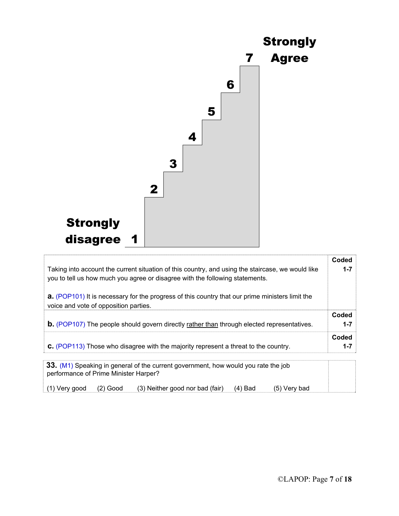

| Taking into account the current situation of this country, and using the staircase, we would like<br>you to tell us how much you agree or disagree with the following statements. | Coded<br>$1 - 7$ |
|-----------------------------------------------------------------------------------------------------------------------------------------------------------------------------------|------------------|
| <b>a.</b> (POP101) It is necessary for the progress of this country that our prime ministers limit the<br>voice and vote of opposition parties.                                   |                  |
| <b>b.</b> (POP107) The people should govern directly rather than through elected representatives.                                                                                 | Coded<br>$1 - 7$ |
| <b>C.</b> (POP113) Those who disagree with the majority represent a threat to the country.                                                                                        | Coded<br>$1 - 7$ |
| 33. (M1) Speaking in general of the current government, how would you rate the job<br>performance of Prime Minister Harper?                                                       |                  |

(1) Very good (2) Good (3) Neither good nor bad (fair) (4) Bad (5) Very bad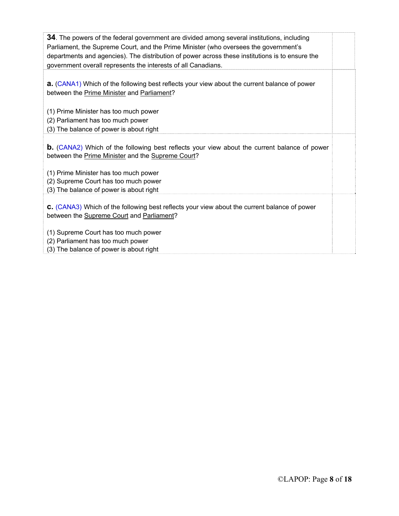| <b>34</b> . The powers of the federal government are divided among several institutions, including<br>Parliament, the Supreme Court, and the Prime Minister (who oversees the government's<br>departments and agencies). The distribution of power across these institutions is to ensure the<br>government overall represents the interests of all Canadians. |  |
|----------------------------------------------------------------------------------------------------------------------------------------------------------------------------------------------------------------------------------------------------------------------------------------------------------------------------------------------------------------|--|
|                                                                                                                                                                                                                                                                                                                                                                |  |
| <b>a.</b> (CANA1) Which of the following best reflects your view about the current balance of power<br>between the Prime Minister and Parliament?                                                                                                                                                                                                              |  |
| (1) Prime Minister has too much power                                                                                                                                                                                                                                                                                                                          |  |
|                                                                                                                                                                                                                                                                                                                                                                |  |
| (2) Parliament has too much power                                                                                                                                                                                                                                                                                                                              |  |
| (3) The balance of power is about right                                                                                                                                                                                                                                                                                                                        |  |
| <b>b.</b> (CANA2) Which of the following best reflects your view about the current balance of power<br>between the Prime Minister and the Supreme Court?<br>(1) Prime Minister has too much power<br>(2) Supreme Court has too much power                                                                                                                      |  |
| (3) The balance of power is about right                                                                                                                                                                                                                                                                                                                        |  |
| <b>C.</b> (CANA3) Which of the following best reflects your view about the current balance of power<br>between the Supreme Court and Parliament?                                                                                                                                                                                                               |  |
| (1) Supreme Court has too much power                                                                                                                                                                                                                                                                                                                           |  |
| (2) Parliament has too much power                                                                                                                                                                                                                                                                                                                              |  |
| (3) The balance of power is about right                                                                                                                                                                                                                                                                                                                        |  |
|                                                                                                                                                                                                                                                                                                                                                                |  |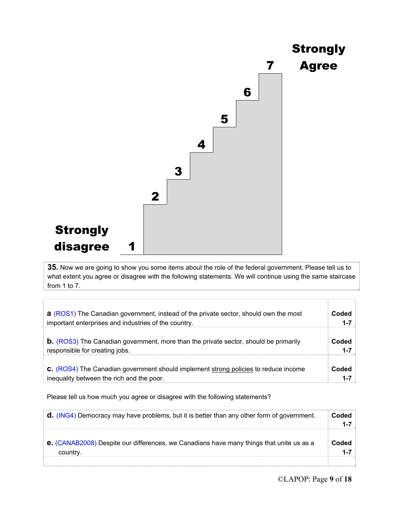

**35.** Now we are going to show you some items about the role of the federal government. Please tell us to what extent you agree or disagree with the following statements. We will continue using the same staircase from 1 to 7.

| <b>a</b> (ROS1) The Canadian government, instead of the private sector, should own the most | Coded   |
|---------------------------------------------------------------------------------------------|---------|
| important enterprises and industries of the country.                                        | $1 - 7$ |
| <b>b.</b> (ROS3) The Canadian government, more than the private sector, should be primarily | Coded   |
| responsible for creating jobs.                                                              | 1-7     |
| <b>C.</b> (ROS4) The Canadian government should implement strong policies to reduce income  | Coded   |
| inequality between the rich and the poor.                                                   | 1-7     |

Please tell us how much you agree or disagree with the following statements?

| <b>d.</b> (ING4) Democracy may have problems, but it is better than any other form of government. | Coded |
|---------------------------------------------------------------------------------------------------|-------|
|                                                                                                   |       |
|                                                                                                   |       |
| <b>e.</b> (CANAB2008) Despite our differences, we Canadians have many things that unite us as a   | Coded |
| country.                                                                                          |       |
|                                                                                                   |       |

T

ŋ.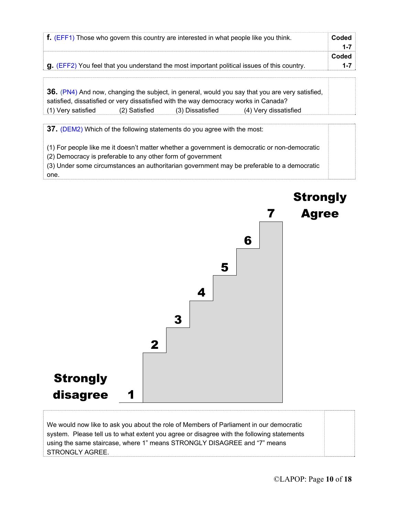| $\mathbf{f}$ . (EFF1) Those who govern this country are interested in what people like you think.       | Coded |
|---------------------------------------------------------------------------------------------------------|-------|
|                                                                                                         |       |
|                                                                                                         | Coded |
| $\mathbf{q}$ . (EFF2) You feel that you understand the most important political issues of this country. |       |

|                                                                                      |               |                  | 36. (PN4) And now, changing the subject, in general, would you say that you are very satisfied, |
|--------------------------------------------------------------------------------------|---------------|------------------|-------------------------------------------------------------------------------------------------|
| satisfied, dissatisfied or very dissatisfied with the way democracy works in Canada? |               |                  |                                                                                                 |
| (1) Very satisfied                                                                   | (2) Satisfied | (3) Dissatisfied | (4) Very dissatisfied                                                                           |

**37.** (DEM2) Which of the following statements do you agree with the most:

(1) For people like me it doesn't matter whether a government is democratic or non-democratic

(2) Democracy is preferable to any other form of government

(3) Under some circumstances an authoritarian government may be preferable to a democratic one.



We would now like to ask you about the role of Members of Parliament in our democratic system. Please tell us to what extent you agree or disagree with the following statements using the same staircase, where 1" means STRONGLY DISAGREE and "7" means STRONGLY AGREE.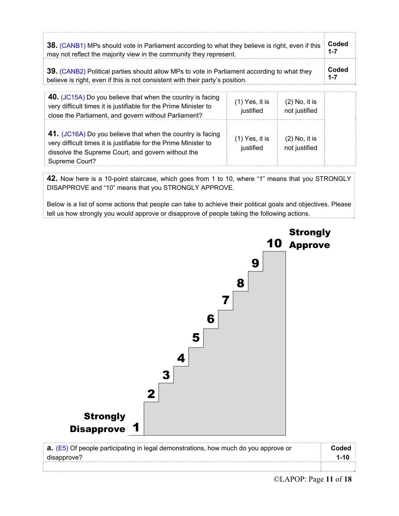| 38. (CANB1) MPs should vote in Parliament according to what they believe is right, even if this | Coded   |
|-------------------------------------------------------------------------------------------------|---------|
| may not reflect the majority view in the community they represent.                              | $1 - 7$ |
| 39. (CANB2) Political parties should allow MPs to vote in Parliament according to what they     | Coded   |
| believe is right, even if this is not consistent with their party's position.                   | $1 - 7$ |

| 40. (JC15A) Do you believe that when the country is facing<br>very difficult times it is justifiable for the Prime Minister to<br>close the Parliament, and govern without Parliament?                 | $(1)$ Yes, it is<br>justified | $(2)$ No, it is<br>not justified |  |
|--------------------------------------------------------------------------------------------------------------------------------------------------------------------------------------------------------|-------------------------------|----------------------------------|--|
| 41. (JC16A) Do you believe that when the country is facing<br>very difficult times it is justifiable for the Prime Minister to<br>dissolve the Supreme Court, and govern without the<br>Supreme Court? | $(1)$ Yes, it is<br>justified | $(2)$ No, it is<br>not justified |  |

**42.** Now here is a 10-point staircase, which goes from 1 to 10, where "1" means that you STRONGLY DISAPPROVE and "10" means that you STRONGLY APPROVE.

Below is a list of some actions that people can take to achieve their political goals and objectives. Please tell us how strongly you would approve or disapprove of people taking the following actions.



| <b>a.</b> (E5) Of people participating in legal demonstrations, how much do you approve or |  |
|--------------------------------------------------------------------------------------------|--|
| disapprove?                                                                                |  |
|                                                                                            |  |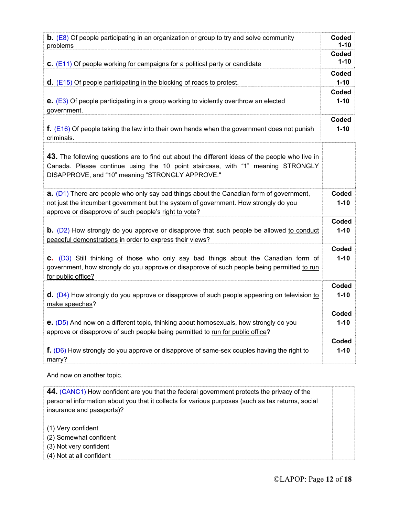| <b>b.</b> (E8) Of people participating in an organization or group to try and solve community                                                                                                                                                  | Coded             |
|------------------------------------------------------------------------------------------------------------------------------------------------------------------------------------------------------------------------------------------------|-------------------|
| problems                                                                                                                                                                                                                                       | $1 - 10$          |
| <b>C.</b> ( $E11$ ) Of people working for campaigns for a political party or candidate                                                                                                                                                         | Coded<br>$1 - 10$ |
| $d.$ (E15) Of people participating in the blocking of roads to protest.                                                                                                                                                                        | Coded<br>$1 - 10$ |
| <b>e.</b> $(E3)$ Of people participating in a group working to violently overthrow an elected                                                                                                                                                  | Coded             |
| government.                                                                                                                                                                                                                                    | $1 - 10$          |
| $f.$ (E16) Of people taking the law into their own hands when the government does not punish                                                                                                                                                   | Coded             |
| criminals.                                                                                                                                                                                                                                     | $1 - 10$          |
| 43. The following questions are to find out about the different ideas of the people who live in<br>Canada. Please continue using the 10 point staircase, with "1" meaning STRONGLY<br>DISAPPROVE, and "10" meaning "STRONGLY APPROVE."         |                   |
| <b>a.</b> (D1) There are people who only say bad things about the Canadian form of government,<br>not just the incumbent government but the system of government. How strongly do you<br>approve or disapprove of such people's right to vote? | Coded<br>$1 - 10$ |
| <b>b.</b> (D2) How strongly do you approve or disapprove that such people be allowed to conduct                                                                                                                                                | Coded             |
| peaceful demonstrations in order to express their views?                                                                                                                                                                                       | $1 - 10$          |
| C. (D3) Still thinking of those who only say bad things about the Canadian form of<br>government, how strongly do you approve or disapprove of such people being permitted to run<br>for public office?                                        | Coded<br>$1 - 10$ |
| <b>d.</b> (D4) How strongly do you approve or disapprove of such people appearing on television to                                                                                                                                             | Coded             |
| make speeches?                                                                                                                                                                                                                                 | $1 - 10$          |
| <b>e.</b> (D5) And now on a different topic, thinking about homosexuals, how strongly do you                                                                                                                                                   | Coded             |
| approve or disapprove of such people being permitted to run for public office?                                                                                                                                                                 | $1 - 10$          |
| f. (D6) How strongly do you approve or disapprove of same-sex couples having the right to                                                                                                                                                      | Coded             |
| marry?                                                                                                                                                                                                                                         | $1 - 10$          |
| And now on another topic.                                                                                                                                                                                                                      |                   |

**44.** (CANC1) How confident are you that the federal government protects the privacy of the personal information about you that it collects for various purposes (such as tax returns, social insurance and passports)?

(1) Very confident

(2) Somewhat confident

(3) Not very confident

(4) Not at all confident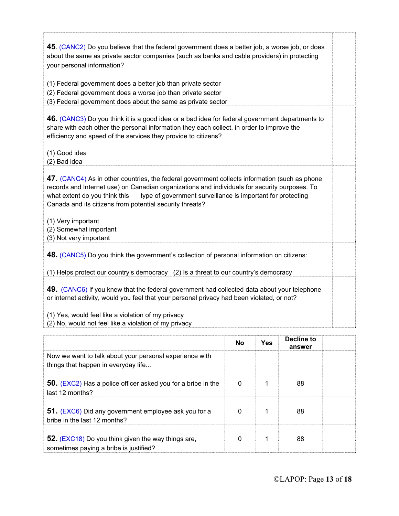| 45. (CANC2) Do you believe that the federal government does a better job, a worse job, or does<br>about the same as private sector companies (such as banks and cable providers) in protecting<br>your personal information?<br>(1) Federal government does a better job than private sector                                                               |  |
|------------------------------------------------------------------------------------------------------------------------------------------------------------------------------------------------------------------------------------------------------------------------------------------------------------------------------------------------------------|--|
| (2) Federal government does a worse job than private sector<br>(3) Federal government does about the same as private sector                                                                                                                                                                                                                                |  |
| 46. (CANC3) Do you think it is a good idea or a bad idea for federal government departments to<br>share with each other the personal information they each collect, in order to improve the<br>efficiency and speed of the services they provide to citizens?<br>(1) Good idea                                                                             |  |
| (2) Bad idea                                                                                                                                                                                                                                                                                                                                               |  |
| 47. (CANC4) As in other countries, the federal government collects information (such as phone<br>records and Internet use) on Canadian organizations and individuals for security purposes. To<br>type of government surveillance is important for protecting<br>what extent do you think this<br>Canada and its citizens from potential security threats? |  |
| (1) Very important<br>(2) Somewhat important<br>(3) Not very important                                                                                                                                                                                                                                                                                     |  |
| 48. (CANC5) Do you think the government's collection of personal information on citizens:                                                                                                                                                                                                                                                                  |  |
| (1) Helps protect our country's democracy (2) Is a threat to our country's democracy                                                                                                                                                                                                                                                                       |  |
| 49. (CANC6) If you knew that the federal government had collected data about your telephone<br>or internet activity, would you feel that your personal privacy had been violated, or not?                                                                                                                                                                  |  |
| (1) Yes, would feel like a violation of my privacy<br>(2) No, would not feel like a violation of my privacy                                                                                                                                                                                                                                                |  |
|                                                                                                                                                                                                                                                                                                                                                            |  |

|                                                                                                | No | Yes | Decline to<br>answer |  |
|------------------------------------------------------------------------------------------------|----|-----|----------------------|--|
| Now we want to talk about your personal experience with<br>things that happen in everyday life |    |     |                      |  |
| <b>50.</b> (EXC2) Has a police officer asked you for a bribe in the<br>last 12 months?         | 0  |     | 88                   |  |
| 51. (EXC6) Did any government employee ask you for a<br>bribe in the last 12 months?           | 0  |     | 88                   |  |
| 52. (EXC18) Do you think given the way things are,<br>sometimes paying a bribe is justified?   | 0  |     | 88                   |  |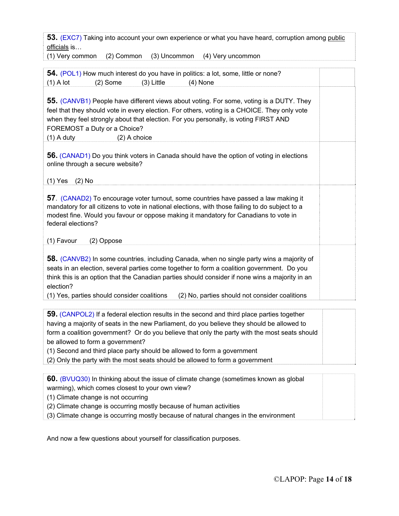**53.** (EXC7) Taking into account your own experience or what you have heard, corruption among public officials is…

(1) Very common (2) Common (3) Uncommon (4) Very uncommon

| 54. (POL1) How much interest do you have in politics: a lot, some, little or none?<br>$(2)$ Some<br>$(4)$ None<br>$(1)$ A lot<br>$(3)$ Little                                                                                                                                                                                                                                                            |  |
|----------------------------------------------------------------------------------------------------------------------------------------------------------------------------------------------------------------------------------------------------------------------------------------------------------------------------------------------------------------------------------------------------------|--|
| <b>55.</b> (CANVB1) People have different views about voting. For some, voting is a DUTY. They<br>feel that they should vote in every election. For others, voting is a CHOICE. They only vote<br>when they feel strongly about that election. For you personally, is voting FIRST AND<br>FOREMOST a Duty or a Choice?<br>$(1)$ A duty<br>(2) A choice                                                   |  |
| <b>56.</b> (CANAD1) Do you think voters in Canada should have the option of voting in elections<br>online through a secure website?<br>$(1)$ Yes<br>$(2)$ No                                                                                                                                                                                                                                             |  |
| 57. (CANAD2) To encourage voter turnout, some countries have passed a law making it<br>mandatory for all citizens to vote in national elections, with those failing to do subject to a<br>modest fine. Would you favour or oppose making it mandatory for Canadians to vote in<br>federal elections?<br>(1) Favour<br>(2) Oppose                                                                         |  |
| 58. (CANVB2) In some countries, including Canada, when no single party wins a majority of<br>seats in an election, several parties come together to form a coalition government. Do you<br>think this is an option that the Canadian parties should consider if none wins a majority in an<br>election?<br>(1) Yes, parties should consider coalitions<br>(2) No, parties should not consider coalitions |  |

**59.** (CANPOL2) If a federal election results in the second and third place parties together having a majority of seats in the new Parliament, do you believe they should be allowed to form a coalition government? Or do you believe that only the party with the most seats should be allowed to form a government?

(1) Second and third place party should be allowed to form a government

(2) Only the party with the most seats should be allowed to form a government

| 60. (BVUQ30) In thinking about the issue of climate change (sometimes known as global |  |
|---------------------------------------------------------------------------------------|--|
| warming), which comes closest to your own view?                                       |  |
| (1) Climate change is not occurring                                                   |  |
| (2) Climate change is occurring mostly because of human activities                    |  |

(3) Climate change is occurring mostly because of natural changes in the environment

And now a few questions about yourself for classification purposes.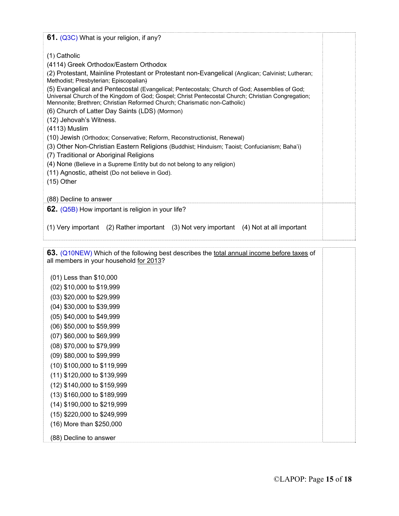| 61. (Q3C) What is your religion, if any?                                                                                                                                                                                                                                                                                                                                                                                                                                                                                                                                                                                                                                                                                                                                                                                                                                                                                                                                                  |  |
|-------------------------------------------------------------------------------------------------------------------------------------------------------------------------------------------------------------------------------------------------------------------------------------------------------------------------------------------------------------------------------------------------------------------------------------------------------------------------------------------------------------------------------------------------------------------------------------------------------------------------------------------------------------------------------------------------------------------------------------------------------------------------------------------------------------------------------------------------------------------------------------------------------------------------------------------------------------------------------------------|--|
| $(1)$ Catholic<br>(4114) Greek Orthodox/Eastern Orthodox<br>(2) Protestant, Mainline Protestant or Protestant non-Evangelical (Anglican; Calvinist; Lutheran;<br>Methodist; Presbyterian; Episcopalian)<br>(5) Evangelical and Pentecostal (Evangelical; Pentecostals; Church of God; Assemblies of God;<br>Universal Church of the Kingdom of God; Gospel; Christ Pentecostal Church; Christian Congregation;<br>Mennonite; Brethren; Christian Reformed Church; Charismatic non-Catholic)<br>(6) Church of Latter Day Saints (LDS) (Mormon)<br>(12) Jehovah's Witness.<br>(4113) Muslim<br>(10) Jewish (Orthodox; Conservative; Reform, Reconstructionist, Renewal)<br>(3) Other Non-Christian Eastern Religions (Buddhist; Hinduism; Taoist; Confucianism; Baha'i)<br>(7) Traditional or Aboriginal Religions<br>(4) None (Believe in a Supreme Entity but do not belong to any religion)<br>(11) Agnostic, atheist (Do not believe in God).<br>$(15)$ Other<br>(88) Decline to answer |  |
| 62. (Q5B) How important is religion in your life?                                                                                                                                                                                                                                                                                                                                                                                                                                                                                                                                                                                                                                                                                                                                                                                                                                                                                                                                         |  |
| (1) Very important (2) Rather important (3) Not very important (4) Not at all important                                                                                                                                                                                                                                                                                                                                                                                                                                                                                                                                                                                                                                                                                                                                                                                                                                                                                                   |  |

**63.** (Q10NEW) Which of the following best describes the total annual income before taxes of all members in your household for 2013?

- (01) Less than \$10,000 (02) \$10,000 to \$19,999 (03) \$20,000 to \$29,999 (04) \$30,000 to \$39,999 (05) \$40,000 to \$49,999 (06) \$50,000 to \$59,999 (07) \$60,000 to \$69,999 (08) \$70,000 to \$79,999 (09) \$80,000 to \$99,999 (10) \$100,000 to \$119,999 (11) \$120,000 to \$139,999 (12) \$140,000 to \$159,999 (13) \$160,000 to \$189,999 (14) \$190,000 to \$219,999 (15) \$220,000 to \$249,999 (16) More than \$250,000
- (88) Decline to answer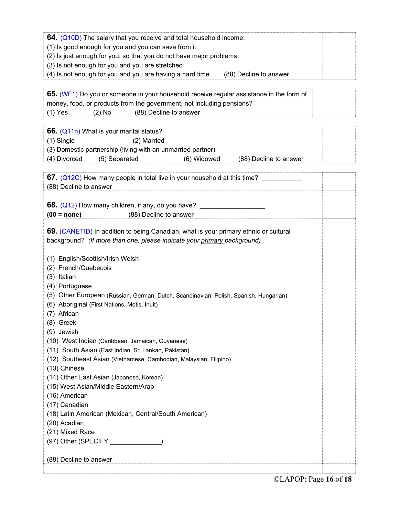| 64. (Q10D) The salary that you receive and total household income:                 |  |
|------------------------------------------------------------------------------------|--|
| (1) Is good enough for you and you can save from it                                |  |
| (2) Is just enough for you, so that you do not have major problems                 |  |
| (3) Is not enough for you and you are stretched                                    |  |
| (4) Is not enough for you and you are having a hard time<br>(88) Decline to answer |  |
|                                                                                    |  |

| 65. (WF1) Do you or someone in your household receive regular assistance in the form of |  |  |  |  |  |  |
|-----------------------------------------------------------------------------------------|--|--|--|--|--|--|
| money, food, or products from the government, not including pensions?                   |  |  |  |  |  |  |
| (1) Yes<br>(88) Decline to answer<br>$(2)$ No                                           |  |  |  |  |  |  |
|                                                                                         |  |  |  |  |  |  |
| 66. (Q11n) What is your marital status?                                                 |  |  |  |  |  |  |
| (1) Single<br>(2) Married                                                               |  |  |  |  |  |  |
| (3) Domestic partnership (living with an unmarried partner)                             |  |  |  |  |  |  |
| (4) Divorced<br>(5) Separated<br>(6) Widowed<br>(88) Decline to answer                  |  |  |  |  |  |  |
|                                                                                         |  |  |  |  |  |  |
| 67. (Q12C) How many people in total live in your household at this time?                |  |  |  |  |  |  |
| (88) Decline to answer                                                                  |  |  |  |  |  |  |
|                                                                                         |  |  |  |  |  |  |
|                                                                                         |  |  |  |  |  |  |
| $(00 = none)$<br>(88) Decline to answer                                                 |  |  |  |  |  |  |
|                                                                                         |  |  |  |  |  |  |
| 69. (CANETID) In addition to being Canadian, what is your primary ethnic or cultural    |  |  |  |  |  |  |
| background? (If more than one, please indicate your primary background)                 |  |  |  |  |  |  |
|                                                                                         |  |  |  |  |  |  |
| (1) English/Scottish/Irish Welsh                                                        |  |  |  |  |  |  |
| (2) French/Quebecois                                                                    |  |  |  |  |  |  |
| (3) Italian                                                                             |  |  |  |  |  |  |
| (4) Portuguese                                                                          |  |  |  |  |  |  |
| (5) Other European (Russian, German, Dutch, Scandinavian, Polish, Spanish, Hungarian)   |  |  |  |  |  |  |
| (6) Aboriginal (First Nations, Metis, Inuit)                                            |  |  |  |  |  |  |
| (7) African                                                                             |  |  |  |  |  |  |
| (8) Greek                                                                               |  |  |  |  |  |  |
| (9) Jewish                                                                              |  |  |  |  |  |  |
| (10) West Indian (Caribbean, Jamaican, Guyanese)                                        |  |  |  |  |  |  |
| (11) South Asian (East Indian, Sri Lankan, Pakistan)                                    |  |  |  |  |  |  |
| (12) Southeast Asian (Vietnamese, Cambodian, Malaysian, Filipino)                       |  |  |  |  |  |  |
| (13) Chinese                                                                            |  |  |  |  |  |  |
| (14) Other East Asian (Japanese, Korean)                                                |  |  |  |  |  |  |
| (15) West Asian/Middle Eastern/Arab                                                     |  |  |  |  |  |  |
| (16) American                                                                           |  |  |  |  |  |  |
| (17) Canadian                                                                           |  |  |  |  |  |  |
| (18) Latin American (Mexican, Central/South American)                                   |  |  |  |  |  |  |
| (20) Acadian                                                                            |  |  |  |  |  |  |
| (21) Mixed Race                                                                         |  |  |  |  |  |  |
| (97) Other (SPECIFY _____________)                                                      |  |  |  |  |  |  |
|                                                                                         |  |  |  |  |  |  |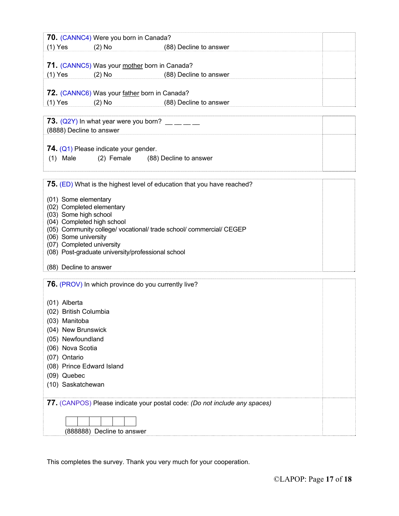|                                                                             | 70. (CANNC4) Were you born in Canada?                               |                                                                        |  |  |  |  |  |  |
|-----------------------------------------------------------------------------|---------------------------------------------------------------------|------------------------------------------------------------------------|--|--|--|--|--|--|
| $(1)$ Yes                                                                   | $(2)$ No                                                            | (88) Decline to answer                                                 |  |  |  |  |  |  |
|                                                                             |                                                                     |                                                                        |  |  |  |  |  |  |
| 71. (CANNC5) Was your mother born in Canada?                                |                                                                     |                                                                        |  |  |  |  |  |  |
| $(1)$ Yes                                                                   | $(2)$ No                                                            | (88) Decline to answer                                                 |  |  |  |  |  |  |
|                                                                             |                                                                     |                                                                        |  |  |  |  |  |  |
| 72. (CANNC6) Was your father born in Canada?                                |                                                                     |                                                                        |  |  |  |  |  |  |
| $(1)$ Yes                                                                   | $(2)$ No $(2)$                                                      | (88) Decline to answer                                                 |  |  |  |  |  |  |
|                                                                             |                                                                     |                                                                        |  |  |  |  |  |  |
|                                                                             |                                                                     |                                                                        |  |  |  |  |  |  |
| <b>73.</b> (Q2Y) In what year were you born? $\_\_\_\_\_\_\_\_\_\_\_\_\_\_$ |                                                                     |                                                                        |  |  |  |  |  |  |
| (8888) Decline to answer                                                    |                                                                     |                                                                        |  |  |  |  |  |  |
|                                                                             |                                                                     |                                                                        |  |  |  |  |  |  |
|                                                                             | 74. (Q1) Please indicate your gender.                               |                                                                        |  |  |  |  |  |  |
| $(1)$ Male                                                                  |                                                                     | (2) Female (88) Decline to answer                                      |  |  |  |  |  |  |
|                                                                             |                                                                     |                                                                        |  |  |  |  |  |  |
|                                                                             |                                                                     |                                                                        |  |  |  |  |  |  |
|                                                                             |                                                                     | 75. (ED) What is the highest level of education that you have reached? |  |  |  |  |  |  |
| (01) Some elementary                                                        |                                                                     |                                                                        |  |  |  |  |  |  |
| (02) Completed elementary                                                   |                                                                     |                                                                        |  |  |  |  |  |  |
| (03) Some high school                                                       |                                                                     |                                                                        |  |  |  |  |  |  |
|                                                                             | (04) Completed high school                                          |                                                                        |  |  |  |  |  |  |
|                                                                             | (05) Community college/ vocational/ trade school/ commercial/ CEGEP |                                                                        |  |  |  |  |  |  |
| (06) Some university                                                        |                                                                     |                                                                        |  |  |  |  |  |  |
| (07) Completed university                                                   |                                                                     |                                                                        |  |  |  |  |  |  |
| (08) Post-graduate university/professional school                           |                                                                     |                                                                        |  |  |  |  |  |  |
| (88) Decline to answer                                                      |                                                                     |                                                                        |  |  |  |  |  |  |
|                                                                             |                                                                     |                                                                        |  |  |  |  |  |  |
|                                                                             |                                                                     | <b>76.</b> (PROV) In which province do you currently live?             |  |  |  |  |  |  |
|                                                                             |                                                                     |                                                                        |  |  |  |  |  |  |
| (01) Alberta                                                                |                                                                     |                                                                        |  |  |  |  |  |  |
| (02) British Columbia                                                       |                                                                     |                                                                        |  |  |  |  |  |  |
| (03) Manitoba                                                               |                                                                     |                                                                        |  |  |  |  |  |  |
|                                                                             |                                                                     |                                                                        |  |  |  |  |  |  |
| (04) New Brunswick                                                          |                                                                     |                                                                        |  |  |  |  |  |  |
|                                                                             | (05) Newfoundland                                                   |                                                                        |  |  |  |  |  |  |
| (06) Nova Scotia                                                            |                                                                     |                                                                        |  |  |  |  |  |  |
| (07) Ontario                                                                |                                                                     |                                                                        |  |  |  |  |  |  |
|                                                                             | (08) Prince Edward Island                                           |                                                                        |  |  |  |  |  |  |
| (09) Quebec                                                                 |                                                                     |                                                                        |  |  |  |  |  |  |
| (10) Saskatchewan                                                           |                                                                     |                                                                        |  |  |  |  |  |  |
|                                                                             |                                                                     |                                                                        |  |  |  |  |  |  |
| 77. (CANPOS) Please indicate your postal code: (Do not include any spaces)  |                                                                     |                                                                        |  |  |  |  |  |  |
|                                                                             |                                                                     |                                                                        |  |  |  |  |  |  |
|                                                                             |                                                                     |                                                                        |  |  |  |  |  |  |
|                                                                             | (888888) Decline to answer                                          |                                                                        |  |  |  |  |  |  |
|                                                                             |                                                                     |                                                                        |  |  |  |  |  |  |

This completes the survey. Thank you very much for your cooperation.